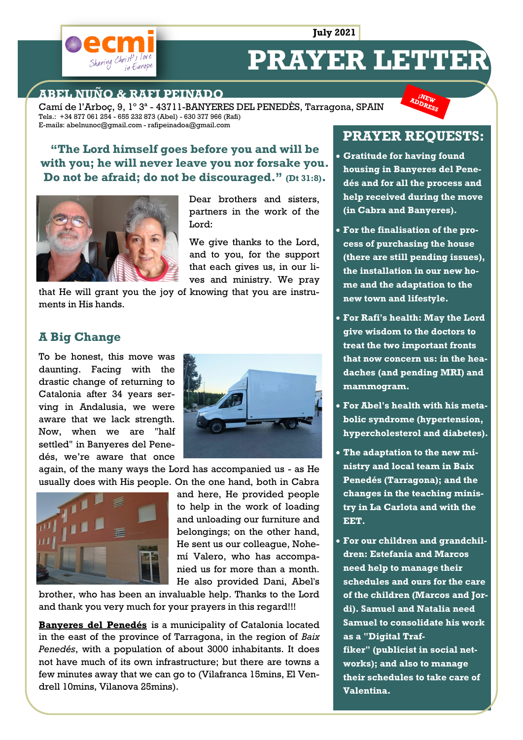**July 2021**



# **PRAYER LETTER**

#### **ABEL NUÑO & RAFI PEINADO**

Camí de l'Arboç, 9, 1º 3ª - 43711-BANYERES DEL PENEDÈS, Tarragona, SPAIN Tels.: +34 877 061 254 - 655 232 873 (Abel) - 630 377 966 (Rafi) E-mails: abelnunoc@gmail.com - rafipeinadoa@gmail.com

## **"The Lord himself goes before you and will be with you; he will never leave you nor forsake you. Do not be afraid; do not be discouraged." (Dt 31:8).**



Dear brothers and sisters. partners in the work of the Lord:

We give thanks to the Lord, and to you, for the support that each gives us, in our lives and ministry. We pray

that He will grant you the joy of knowing that you are instruments in His hands.

#### **A Big Change**

To be honest, this move was daunting. Facing with the drastic change of returning to Catalonia after 34 years serving in Andalusia, we were aware that we lack strength. Now, when we are "half settled" in Banyeres del Penedés, we're aware that once



again, of the many ways the Lord has accompanied us - as He usually does with His people. On the one hand, both in Cabra



and here, He provided people to help in the work of loading and unloading our furniture and belongings; on the other hand, He sent us our colleague, Nohemí Valero, who has accompanied us for more than a month. He also provided Dani, Abel's

brother, who has been an invaluable help. Thanks to the Lord and thank you very much for your prayers in this regard!!!

**Banyeres del Penedés** is a municipality of Catalonia located in the east of the province of Tarragona, in the region of *Baix Penedés*, with a population of about 3000 inhabitants. It does not have much of its own infrastructure; but there are towns a few minutes away that we can go to (Vilafranca 15mins, El Vendrell 10mins, Vilanova 25mins).

# **PRAYER REQUESTS:**

**INEW** ADDRESS

- **Gratitude for having found housing in Banyeres del Penedés and for all the process and help received during the move (in Cabra and Banyeres).**
- **For the finalisation of the process of purchasing the house (there are still pending issues), the installation in our new home and the adaptation to the new town and lifestyle.**
- **For Rafi's health: May the Lord give wisdom to the doctors to treat the two important fronts that now concern us: in the headaches (and pending MRI) and mammogram.**
- **For Abel's health with his metabolic syndrome (hypertension, hypercholesterol and diabetes).**
- **The adaptation to the new ministry and local team in Baix Penedés (Tarragona); and the changes in the teaching ministry in La Carlota and with the EET.**
- **For our children and grandchildren: Estefania and Marcos need help to manage their schedules and ours for the care of the children (Marcos and Jordi). Samuel and Natalia need Samuel to consolidate his work as a "Digital Traffiker" (publicist in social networks); and also to manage their schedules to take care of Valentina.**